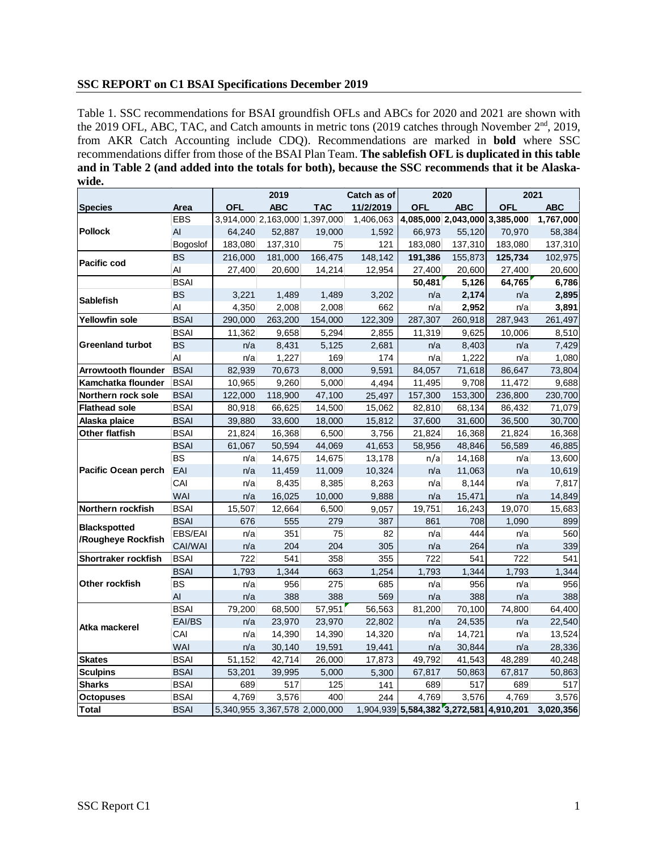#### **SSC REPORT on C1 BSAI Specifications December 2019**

Table 1. SSC recommendations for BSAI groundfish OFLs and ABCs for 2020 and 2021 are shown with the 2019 OFL, ABC, TAC, and Catch amounts in metric tons (2019 catches through November 2<sup>nd</sup>, 2019, from AKR Catch Accounting include CDQ). Recommendations are marked in **bold** where SSC recommendations differ from those of the BSAI Plan Team. **The sablefish OFL is duplicated in this table and in Table 2 (and added into the totals for both), because the SSC recommends that it be Alaskawide.** 

|                                           |             |            | 2019                          |                               | Catch as of | 2020                                    |            | 2021                          |            |
|-------------------------------------------|-------------|------------|-------------------------------|-------------------------------|-------------|-----------------------------------------|------------|-------------------------------|------------|
| <b>Species</b>                            | Area        | <b>OFL</b> | <b>ABC</b>                    | <b>TAC</b>                    | 11/2/2019   | <b>OFL</b>                              | <b>ABC</b> | OFL                           | <b>ABC</b> |
| <b>Pollock</b>                            | <b>EBS</b>  |            |                               | 3,914,000 2,163,000 1,397,000 | 1,406,063   |                                         |            | 4,085,000 2,043,000 3,385,000 | 1,767,000  |
|                                           | AI          | 64,240     | 52,887                        | 19,000                        | 1,592       | 66,973                                  | 55,120     | 70,970                        | 58,384     |
|                                           | Bogoslof    | 183,080    | 137,310                       | 75                            | 121         | 183,080                                 | 137,310    | 183,080                       | 137,310    |
| <b>Pacific cod</b>                        | <b>BS</b>   | 216,000    | 181,000                       | 166,475                       | 148,142     | 191,386                                 | 155,873    | 125,734                       | 102,975    |
|                                           | Al          | 27,400     | 20,600                        | 14,214                        | 12,954      | 27,400                                  | 20,600     | 27,400                        | 20,600     |
|                                           | <b>BSAI</b> |            |                               |                               |             | 50,481                                  | 5,126      | 64,765                        | 6,786      |
| <b>Sablefish</b>                          | <b>BS</b>   | 3,221      | 1,489                         | 1,489                         | 3,202       | n/a                                     | 2,174      | n/a                           | 2,895      |
|                                           | Al          | 4,350      | 2,008                         | 2,008                         | 662         | n/a                                     | 2,952      | n/a                           | 3,891      |
| <b>Yellowfin sole</b>                     | <b>BSAI</b> | 290,000    | 263,200                       | 154,000                       | 122,309     | 287,307                                 | 260,918    | 287,943                       | 261,497    |
| <b>Greenland turbot</b>                   | <b>BSAI</b> | 11,362     | 9,658                         | 5,294                         | 2,855       | 11,319                                  | 9,625      | 10,006                        | 8,510      |
|                                           | <b>BS</b>   | n/a        | 8,431                         | 5,125                         | 2,681       | n/a                                     | 8,403      | n/a                           | 7,429      |
|                                           | AI          | n/a        | 1,227                         | 169                           | 174         | n/a                                     | 1,222      | n/a                           | 1,080      |
| <b>Arrowtooth flounder</b>                | <b>BSAI</b> | 82,939     | 70,673                        | 8,000                         | 9,591       | 84,057                                  | 71,618     | 86,647                        | 73,804     |
| Kamchatka flounder                        | <b>BSAI</b> | 10,965     | 9,260                         | 5,000                         | 4,494       | 11,495                                  | 9,708      | 11,472                        | 9,688      |
| Northern rock sole                        | <b>BSAI</b> | 122,000    | 118,900                       | 47,100                        | 25,497      | 157,300                                 | 153,300    | 236,800                       | 230,700    |
| <b>Flathead sole</b>                      | <b>BSAI</b> | 80,918     | 66,625                        | 14,500                        | 15,062      | 82,810                                  | 68,134     | 86,432                        | 71,079     |
| Alaska plaice                             | <b>BSAI</b> | 39,880     | 33,600                        | 18,000                        | 15,812      | 37,600                                  | 31,600     | 36,500                        | 30,700     |
| Other flatfish                            | <b>BSAI</b> | 21,824     | 16,368                        | 6,500                         | 3,756       | 21,824                                  | 16,368     | 21,824                        | 16,368     |
| <b>Pacific Ocean perch</b>                | <b>BSAI</b> | 61,067     | 50,594                        | 44,069                        | 41,653      | 58,956                                  | 48,846     | 56,589                        | 46,885     |
|                                           | <b>BS</b>   | n/a        | 14,675                        | 14,675                        | 13,178      | n/a                                     | 14,168     | n/a                           | 13,600     |
|                                           | EAI         | n/a        | 11,459                        | 11,009                        | 10,324      | n/a                                     | 11,063     | n/a                           | 10,619     |
|                                           | CAI         | n/a        | 8,435                         | 8,385                         | 8,263       | n/a                                     | 8,144      | n/a                           | 7,817      |
|                                           | WAI         | n/a        | 16,025                        | 10,000                        | 9,888       | n/a                                     | 15,471     | n/a                           | 14,849     |
| Northern rockfish                         | <b>BSAI</b> | 15,507     | 12,664                        | 6,500                         | 9,057       | 19,751                                  | 16,243     | 19,070                        | 15,683     |
| <b>Blackspotted</b><br>/Rougheye Rockfish | <b>BSAI</b> | 676        | 555                           | 279                           | 387         | 861                                     | 708        | 1,090                         | 899        |
|                                           | EBS/EAI     | n/a        | 351                           | 75                            | 82          | n/a                                     | 444        | n/a                           | 560        |
|                                           | CAI/WAI     | n/a        | 204                           | 204                           | 305         | n/a                                     | 264        | n/a                           | 339        |
| Shortraker rockfish                       | <b>BSAI</b> | 722        | 541                           | 358                           | 355         | 722                                     | 541        | 722                           | 541        |
| Other rockfish                            | <b>BSAI</b> | 1,793      | 1,344                         | 663                           | 1,254       | 1,793                                   | 1,344      | 1,793                         | 1,344      |
|                                           | <b>BS</b>   | n/a        | 956                           | 275                           | 685         | n/a                                     | 956        | n/a                           | 956        |
|                                           | AI          | n/a        | 388                           | 388                           | 569         | n/a                                     | 388        | n/a                           | 388        |
| Atka mackerel                             | <b>BSAI</b> | 79,200     | 68,500                        | 57,951                        | 56,563      | 81,200                                  | 70,100     | 74,800                        | 64,400     |
|                                           | EAI/BS      | n/a        | 23,970                        | 23,970                        | 22,802      | n/a                                     | 24,535     | n/a                           | 22,540     |
|                                           | CAI         | n/a        | 14,390                        | 14,390                        | 14,320      | n/a                                     | 14,721     | n/a                           | 13,524     |
|                                           | <b>WAI</b>  | n/a        | 30,140                        | 19,591                        | 19,441      | n/a                                     | 30,844     | n/a                           | 28,336     |
| <b>Skates</b>                             | <b>BSAI</b> | 51,152     | 42,714                        | 26,000                        | 17,873      | 49,792                                  | 41,543     | 48,289                        | 40,248     |
| <b>Sculpins</b>                           | <b>BSAI</b> | 53,201     | 39,995                        | 5,000                         | 5,300       | 67,817                                  | 50,863     | 67,817                        | 50,863     |
| <b>Sharks</b>                             | <b>BSAI</b> | 689        | 517                           | 125                           | 141         | 689                                     | 517        | 689                           | 517        |
| <b>Octopuses</b>                          | <b>BSAI</b> | 4,769      | 3,576                         | 400                           | 244         | 4,769                                   | 3,576      | 4,769                         | 3,576      |
| <b>Total</b>                              | <b>BSAI</b> |            | 5,340,955 3,367,578 2,000,000 |                               |             | 1,904,939 5,584,382 3,272,581 4,910,201 |            |                               | 3,020,356  |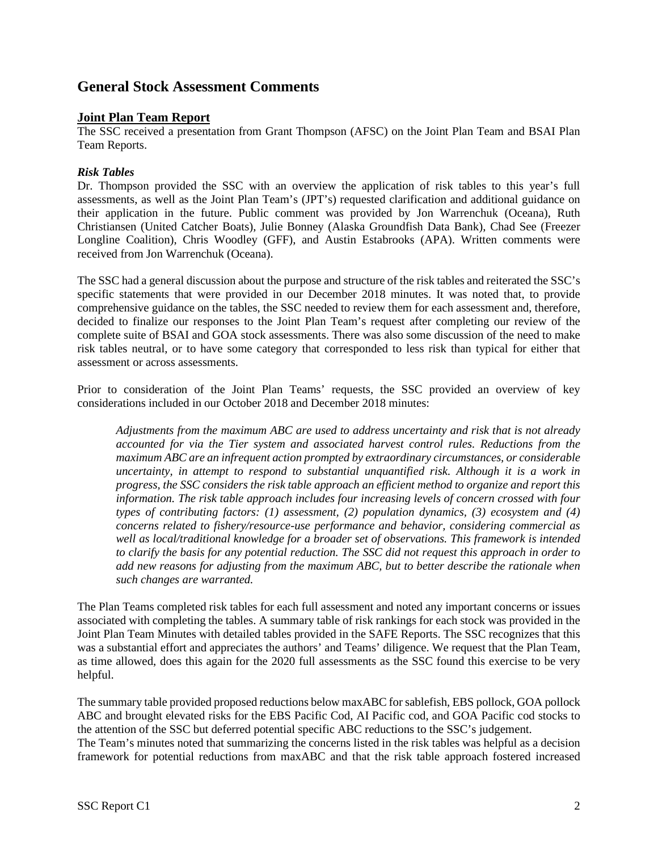# **General Stock Assessment Comments**

### **Joint Plan Team Report**

The SSC received a presentation from Grant Thompson (AFSC) on the Joint Plan Team and BSAI Plan Team Reports.

### *Risk Tables*

Dr. Thompson provided the SSC with an overview the application of risk tables to this year's full assessments, as well as the Joint Plan Team's (JPT's) requested clarification and additional guidance on their application in the future. Public comment was provided by Jon Warrenchuk (Oceana), Ruth Christiansen (United Catcher Boats), Julie Bonney (Alaska Groundfish Data Bank), Chad See (Freezer Longline Coalition), Chris Woodley (GFF), and Austin Estabrooks (APA). Written comments were received from Jon Warrenchuk (Oceana).

The SSC had a general discussion about the purpose and structure of the risk tables and reiterated the SSC's specific statements that were provided in our December 2018 minutes. It was noted that, to provide comprehensive guidance on the tables, the SSC needed to review them for each assessment and, therefore, decided to finalize our responses to the Joint Plan Team's request after completing our review of the complete suite of BSAI and GOA stock assessments. There was also some discussion of the need to make risk tables neutral, or to have some category that corresponded to less risk than typical for either that assessment or across assessments.

Prior to consideration of the Joint Plan Teams' requests, the SSC provided an overview of key considerations included in our October 2018 and December 2018 minutes:

*Adjustments from the maximum ABC are used to address uncertainty and risk that is not already accounted for via the Tier system and associated harvest control rules. Reductions from the maximum ABC are an infrequent action prompted by extraordinary circumstances, or considerable uncertainty, in attempt to respond to substantial unquantified risk. Although it is a work in progress, the SSC considers the risk table approach an efficient method to organize and report this information. The risk table approach includes four increasing levels of concern crossed with four types of contributing factors: (1) assessment, (2) population dynamics, (3) ecosystem and (4) concerns related to fishery/resource-use performance and behavior, considering commercial as well as local/traditional knowledge for a broader set of observations. This framework is intended to clarify the basis for any potential reduction. The SSC did not request this approach in order to add new reasons for adjusting from the maximum ABC, but to better describe the rationale when such changes are warranted.*

The Plan Teams completed risk tables for each full assessment and noted any important concerns or issues associated with completing the tables. A summary table of risk rankings for each stock was provided in the Joint Plan Team Minutes with detailed tables provided in the SAFE Reports. The SSC recognizes that this was a substantial effort and appreciates the authors' and Teams' diligence. We request that the Plan Team, as time allowed, does this again for the 2020 full assessments as the SSC found this exercise to be very helpful.

The summary table provided proposed reductions below maxABC for sablefish, EBS pollock, GOA pollock ABC and brought elevated risks for the EBS Pacific Cod, AI Pacific cod, and GOA Pacific cod stocks to the attention of the SSC but deferred potential specific ABC reductions to the SSC's judgement. The Team's minutes noted that summarizing the concerns listed in the risk tables was helpful as a decision framework for potential reductions from maxABC and that the risk table approach fostered increased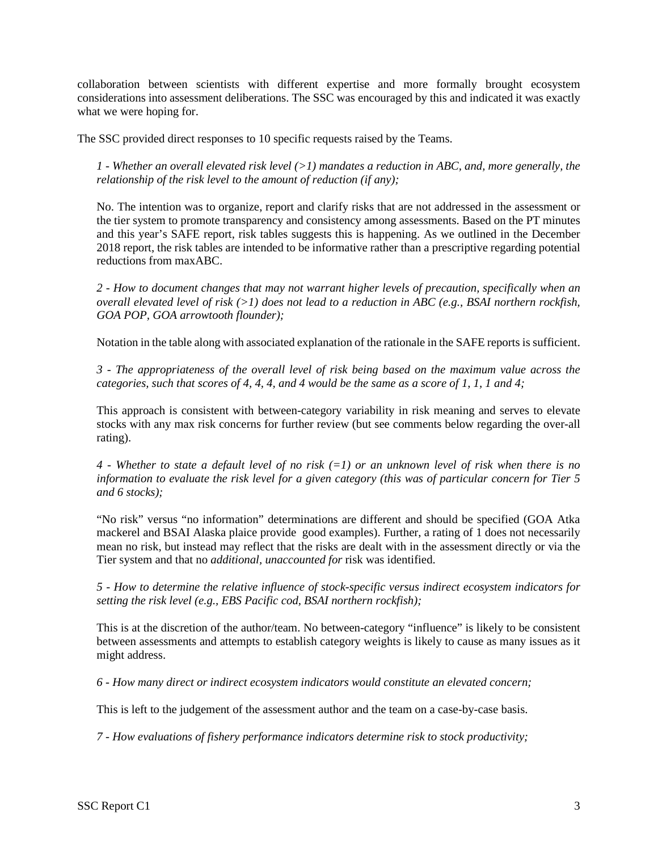collaboration between scientists with different expertise and more formally brought ecosystem considerations into assessment deliberations. The SSC was encouraged by this and indicated it was exactly what we were hoping for.

The SSC provided direct responses to 10 specific requests raised by the Teams.

*1 - Whether an overall elevated risk level (>1) mandates a reduction in ABC, and, more generally, the relationship of the risk level to the amount of reduction (if any);* 

No. The intention was to organize, report and clarify risks that are not addressed in the assessment or the tier system to promote transparency and consistency among assessments. Based on the PT minutes and this year's SAFE report, risk tables suggests this is happening. As we outlined in the December 2018 report, the risk tables are intended to be informative rather than a prescriptive regarding potential reductions from maxABC.

*2 - How to document changes that may not warrant higher levels of precaution, specifically when an overall elevated level of risk (>1) does not lead to a reduction in ABC (e.g., BSAI northern rockfish, GOA POP, GOA arrowtooth flounder);* 

Notation in the table along with associated explanation of the rationale in the SAFE reports is sufficient.

*3 - The appropriateness of the overall level of risk being based on the maximum value across the categories, such that scores of 4, 4, 4, and 4 would be the same as a score of 1, 1, 1 and 4;* 

This approach is consistent with between-category variability in risk meaning and serves to elevate stocks with any max risk concerns for further review (but see comments below regarding the over-all rating).

*4 - Whether to state a default level of no risk (=1) or an unknown level of risk when there is no information to evaluate the risk level for a given category (this was of particular concern for Tier 5 and 6 stocks);* 

"No risk" versus "no information" determinations are different and should be specified (GOA Atka mackerel and BSAI Alaska plaice provide good examples). Further, a rating of 1 does not necessarily mean no risk, but instead may reflect that the risks are dealt with in the assessment directly or via the Tier system and that no *additional, unaccounted for* risk was identified.

*5 - How to determine the relative influence of stock-specific versus indirect ecosystem indicators for setting the risk level (e.g., EBS Pacific cod, BSAI northern rockfish);* 

This is at the discretion of the author/team. No between-category "influence" is likely to be consistent between assessments and attempts to establish category weights is likely to cause as many issues as it might address.

*6 - How many direct or indirect ecosystem indicators would constitute an elevated concern;* 

This is left to the judgement of the assessment author and the team on a case-by-case basis.

*7 - How evaluations of fishery performance indicators determine risk to stock productivity;*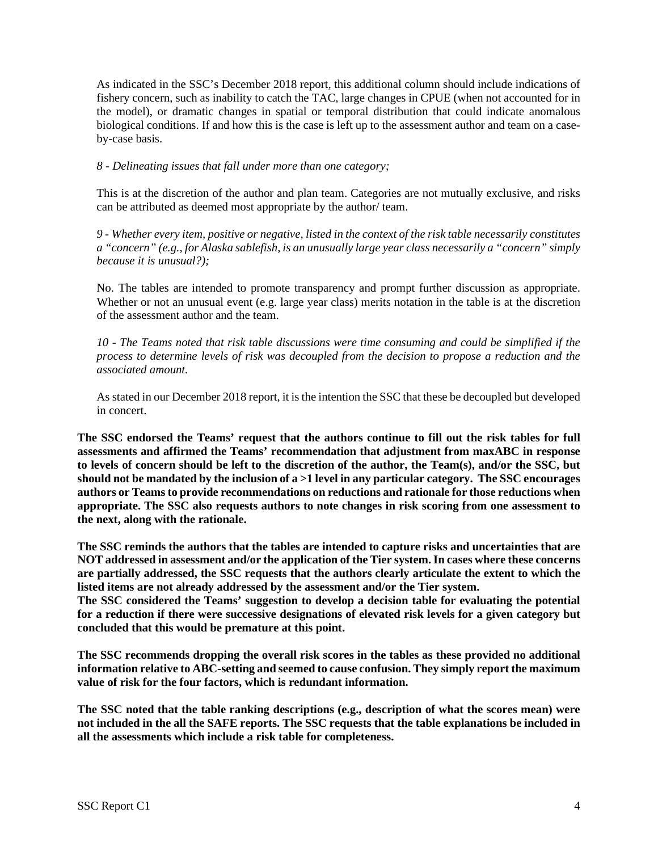As indicated in the SSC's December 2018 report, this additional column should include indications of fishery concern, such as inability to catch the TAC, large changes in CPUE (when not accounted for in the model), or dramatic changes in spatial or temporal distribution that could indicate anomalous biological conditions. If and how this is the case is left up to the assessment author and team on a caseby-case basis.

### *8 - Delineating issues that fall under more than one category;*

This is at the discretion of the author and plan team. Categories are not mutually exclusive, and risks can be attributed as deemed most appropriate by the author/ team.

*9 - Whether every item, positive or negative, listed in the context of the risk table necessarily constitutes a "concern" (e.g., for Alaska sablefish, is an unusually large year class necessarily a "concern" simply because it is unusual?);* 

No. The tables are intended to promote transparency and prompt further discussion as appropriate. Whether or not an unusual event (e.g. large year class) merits notation in the table is at the discretion of the assessment author and the team.

*10 - The Teams noted that risk table discussions were time consuming and could be simplified if the process to determine levels of risk was decoupled from the decision to propose a reduction and the associated amount.* 

As stated in our December 2018 report, it is the intention the SSC that these be decoupled but developed in concert.

**The SSC endorsed the Teams' request that the authors continue to fill out the risk tables for full assessments and affirmed the Teams' recommendation that adjustment from maxABC in response to levels of concern should be left to the discretion of the author, the Team(s), and/or the SSC, but should not be mandated by the inclusion of a >1 level in any particular category. The SSC encourages authors or Teams to provide recommendations on reductions and rationale for those reductions when appropriate. The SSC also requests authors to note changes in risk scoring from one assessment to the next, along with the rationale.**

**The SSC reminds the authors that the tables are intended to capture risks and uncertainties that are NOT addressed in assessment and/or the application of the Tier system. In cases where these concerns are partially addressed, the SSC requests that the authors clearly articulate the extent to which the listed items are not already addressed by the assessment and/or the Tier system.** 

**The SSC considered the Teams' suggestion to develop a decision table for evaluating the potential for a reduction if there were successive designations of elevated risk levels for a given category but concluded that this would be premature at this point.**

**The SSC recommends dropping the overall risk scores in the tables as these provided no additional information relative to ABC-setting and seemed to cause confusion. They simply report the maximum value of risk for the four factors, which is redundant information.**

**The SSC noted that the table ranking descriptions (e.g., description of what the scores mean) were not included in the all the SAFE reports. The SSC requests that the table explanations be included in all the assessments which include a risk table for completeness.**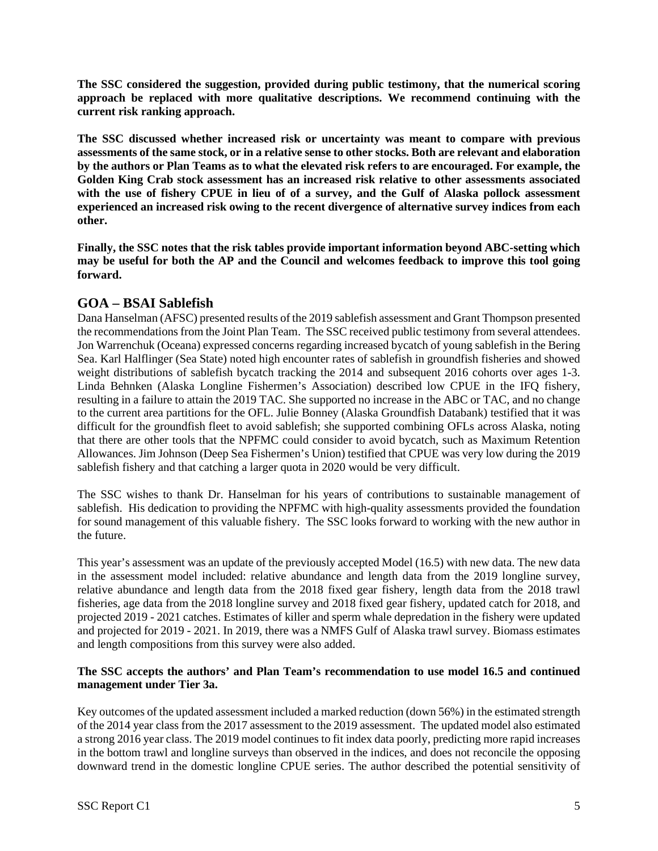**The SSC considered the suggestion, provided during public testimony, that the numerical scoring approach be replaced with more qualitative descriptions. We recommend continuing with the current risk ranking approach.** 

**The SSC discussed whether increased risk or uncertainty was meant to compare with previous assessments of the same stock, or in a relative sense to other stocks. Both are relevant and elaboration by the authors or Plan Teams as to what the elevated risk refers to are encouraged. For example, the Golden King Crab stock assessment has an increased risk relative to other assessments associated with the use of fishery CPUE in lieu of of a survey, and the Gulf of Alaska pollock assessment experienced an increased risk owing to the recent divergence of alternative survey indices from each other.**

**Finally, the SSC notes that the risk tables provide important information beyond ABC-setting which may be useful for both the AP and the Council and welcomes feedback to improve this tool going forward.**

# **GOA – BSAI Sablefish**

Dana Hanselman (AFSC) presented results of the 2019 sablefish assessment and Grant Thompson presented the recommendations from the Joint Plan Team. The SSC received public testimony from several attendees. Jon Warrenchuk (Oceana) expressed concerns regarding increased bycatch of young sablefish in the Bering Sea. Karl Halflinger (Sea State) noted high encounter rates of sablefish in groundfish fisheries and showed weight distributions of sablefish bycatch tracking the 2014 and subsequent 2016 cohorts over ages 1-3. Linda Behnken (Alaska Longline Fishermen's Association) described low CPUE in the IFQ fishery, resulting in a failure to attain the 2019 TAC. She supported no increase in the ABC or TAC, and no change to the current area partitions for the OFL. Julie Bonney (Alaska Groundfish Databank) testified that it was difficult for the groundfish fleet to avoid sablefish; she supported combining OFLs across Alaska, noting that there are other tools that the NPFMC could consider to avoid bycatch, such as Maximum Retention Allowances. Jim Johnson (Deep Sea Fishermen's Union) testified that CPUE was very low during the 2019 sablefish fishery and that catching a larger quota in 2020 would be very difficult.

The SSC wishes to thank Dr. Hanselman for his years of contributions to sustainable management of sablefish. His dedication to providing the NPFMC with high-quality assessments provided the foundation for sound management of this valuable fishery. The SSC looks forward to working with the new author in the future.

This year's assessment was an update of the previously accepted Model (16.5) with new data. The new data in the assessment model included: relative abundance and length data from the 2019 longline survey, relative abundance and length data from the 2018 fixed gear fishery, length data from the 2018 trawl fisheries, age data from the 2018 longline survey and 2018 fixed gear fishery, updated catch for 2018, and projected 2019 - 2021 catches. Estimates of killer and sperm whale depredation in the fishery were updated and projected for 2019 - 2021. In 2019, there was a NMFS Gulf of Alaska trawl survey. Biomass estimates and length compositions from this survey were also added.

### **The SSC accepts the authors' and Plan Team's recommendation to use model 16.5 and continued management under Tier 3a.**

Key outcomes of the updated assessment included a marked reduction (down 56%) in the estimated strength of the 2014 year class from the 2017 assessment to the 2019 assessment. The updated model also estimated a strong 2016 year class. The 2019 model continues to fit index data poorly, predicting more rapid increases in the bottom trawl and longline surveys than observed in the indices, and does not reconcile the opposing downward trend in the domestic longline CPUE series. The author described the potential sensitivity of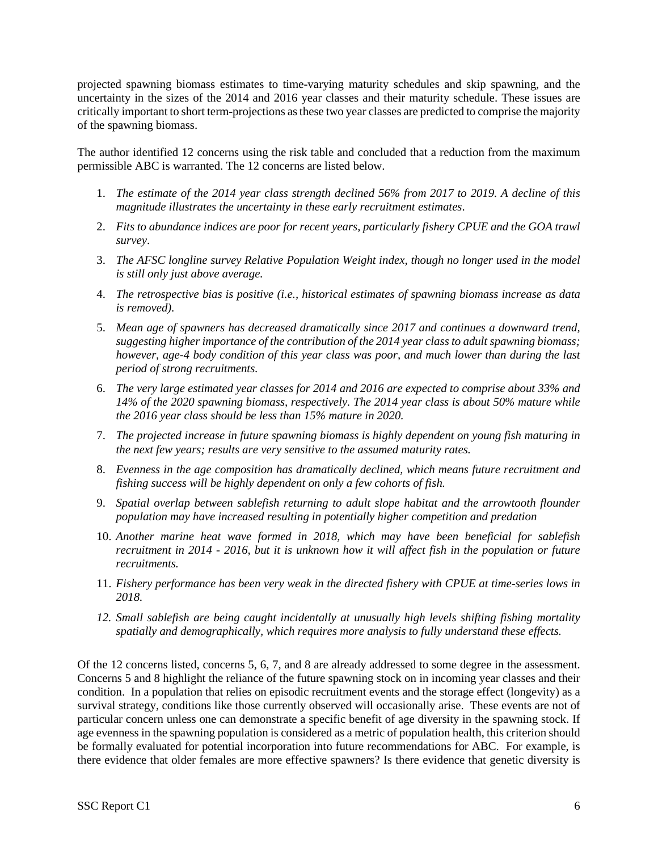projected spawning biomass estimates to time-varying maturity schedules and skip spawning, and the uncertainty in the sizes of the 2014 and 2016 year classes and their maturity schedule. These issues are critically important to short term-projections as these two year classes are predicted to comprise the majority of the spawning biomass.

The author identified 12 concerns using the risk table and concluded that a reduction from the maximum permissible ABC is warranted. The 12 concerns are listed below.

- 1. *The estimate of the 2014 year class strength declined 56% from 2017 to 2019. A decline of this magnitude illustrates the uncertainty in these early recruitment estimates*.
- 2. *Fits to abundance indices are poor for recent years, particularly fishery CPUE and the GOA trawl survey*.
- 3. *The AFSC longline survey Relative Population Weight index, though no longer used in the model is still only just above average.*
- 4. *The retrospective bias is positive (i.e., historical estimates of spawning biomass increase as data is removed).*
- 5. *Mean age of spawners has decreased dramatically since 2017 and continues a downward trend, suggesting higher importance of the contribution of the 2014 year class to adult spawning biomass; however, age-4 body condition of this year class was poor, and much lower than during the last period of strong recruitments.*
- 6. *The very large estimated year classes for 2014 and 2016 are expected to comprise about 33% and 14% of the 2020 spawning biomass, respectively. The 2014 year class is about 50% mature while the 2016 year class should be less than 15% mature in 2020.*
- 7. *The projected increase in future spawning biomass is highly dependent on young fish maturing in the next few years; results are very sensitive to the assumed maturity rates.*
- 8. *Evenness in the age composition has dramatically declined, which means future recruitment and fishing success will be highly dependent on only a few cohorts of fish.*
- 9. *Spatial overlap between sablefish returning to adult slope habitat and the arrowtooth flounder population may have increased resulting in potentially higher competition and predation*
- 10. *Another marine heat wave formed in 2018, which may have been beneficial for sablefish recruitment in 2014 - 2016, but it is unknown how it will affect fish in the population or future recruitments.*
- 11. *Fishery performance has been very weak in the directed fishery with CPUE at time-series lows in 2018.*
- *12. Small sablefish are being caught incidentally at unusually high levels shifting fishing mortality spatially and demographically, which requires more analysis to fully understand these effects.*

Of the 12 concerns listed, concerns 5, 6, 7, and 8 are already addressed to some degree in the assessment. Concerns 5 and 8 highlight the reliance of the future spawning stock on in incoming year classes and their condition. In a population that relies on episodic recruitment events and the storage effect (longevity) as a survival strategy, conditions like those currently observed will occasionally arise. These events are not of particular concern unless one can demonstrate a specific benefit of age diversity in the spawning stock. If age evenness in the spawning population is considered as a metric of population health, this criterion should be formally evaluated for potential incorporation into future recommendations for ABC. For example, is there evidence that older females are more effective spawners? Is there evidence that genetic diversity is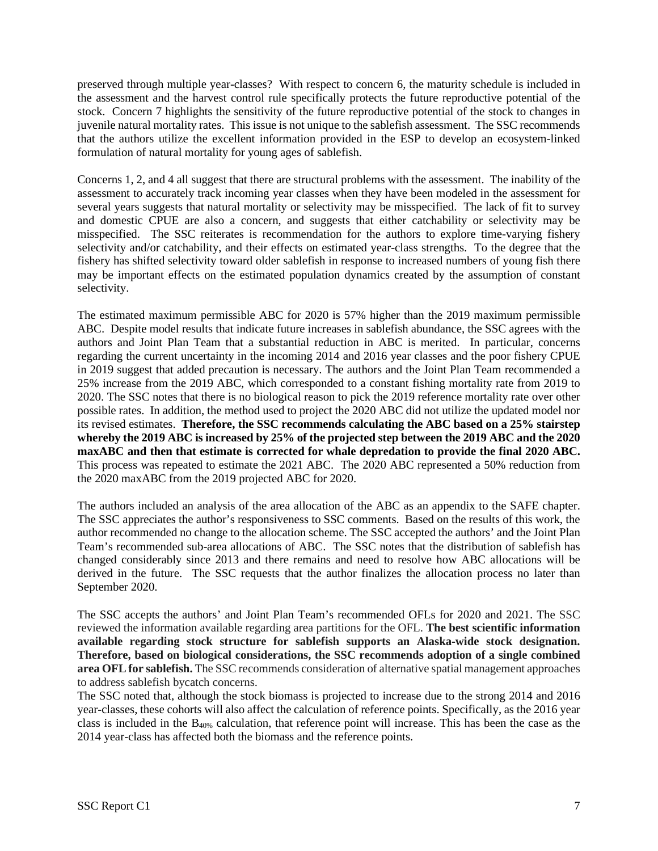preserved through multiple year-classes? With respect to concern 6, the maturity schedule is included in the assessment and the harvest control rule specifically protects the future reproductive potential of the stock. Concern 7 highlights the sensitivity of the future reproductive potential of the stock to changes in juvenile natural mortality rates. This issue is not unique to the sablefish assessment. The SSC recommends that the authors utilize the excellent information provided in the ESP to develop an ecosystem-linked formulation of natural mortality for young ages of sablefish.

Concerns 1, 2, and 4 all suggest that there are structural problems with the assessment. The inability of the assessment to accurately track incoming year classes when they have been modeled in the assessment for several years suggests that natural mortality or selectivity may be misspecified. The lack of fit to survey and domestic CPUE are also a concern, and suggests that either catchability or selectivity may be misspecified. The SSC reiterates is recommendation for the authors to explore time-varying fishery selectivity and/or catchability, and their effects on estimated year-class strengths. To the degree that the fishery has shifted selectivity toward older sablefish in response to increased numbers of young fish there may be important effects on the estimated population dynamics created by the assumption of constant selectivity.

The estimated maximum permissible ABC for 2020 is 57% higher than the 2019 maximum permissible ABC. Despite model results that indicate future increases in sablefish abundance, the SSC agrees with the authors and Joint Plan Team that a substantial reduction in ABC is merited. In particular, concerns regarding the current uncertainty in the incoming 2014 and 2016 year classes and the poor fishery CPUE in 2019 suggest that added precaution is necessary. The authors and the Joint Plan Team recommended a 25% increase from the 2019 ABC, which corresponded to a constant fishing mortality rate from 2019 to 2020. The SSC notes that there is no biological reason to pick the 2019 reference mortality rate over other possible rates. In addition, the method used to project the 2020 ABC did not utilize the updated model nor its revised estimates. **Therefore, the SSC recommends calculating the ABC based on a 25% stairstep whereby the 2019 ABC is increased by 25% of the projected step between the 2019 ABC and the 2020 maxABC and then that estimate is corrected for whale depredation to provide the final 2020 ABC.**  This process was repeated to estimate the 2021 ABC. The 2020 ABC represented a 50% reduction from the 2020 maxABC from the 2019 projected ABC for 2020.

The authors included an analysis of the area allocation of the ABC as an appendix to the SAFE chapter. The SSC appreciates the author's responsiveness to SSC comments. Based on the results of this work, the author recommended no change to the allocation scheme. The SSC accepted the authors' and the Joint Plan Team's recommended sub-area allocations of ABC. The SSC notes that the distribution of sablefish has changed considerably since 2013 and there remains and need to resolve how ABC allocations will be derived in the future. The SSC requests that the author finalizes the allocation process no later than September 2020.

The SSC accepts the authors' and Joint Plan Team's recommended OFLs for 2020 and 2021. The SSC reviewed the information available regarding area partitions for the OFL. **The best scientific information available regarding stock structure for sablefish supports an Alaska-wide stock designation. Therefore, based on biological considerations, the SSC recommends adoption of a single combined area OFL for sablefish.** The SSC recommends consideration of alternative spatial management approaches to address sablefish bycatch concerns.

The SSC noted that, although the stock biomass is projected to increase due to the strong 2014 and 2016 year-classes, these cohorts will also affect the calculation of reference points. Specifically, as the 2016 year class is included in the B40% calculation, that reference point will increase. This has been the case as the 2014 year-class has affected both the biomass and the reference points.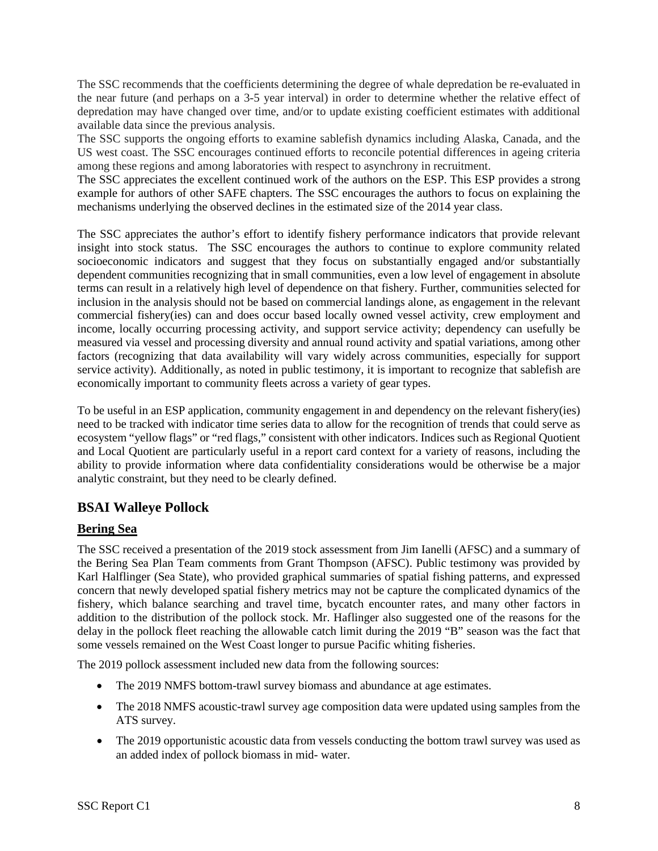The SSC recommends that the coefficients determining the degree of whale depredation be re-evaluated in the near future (and perhaps on a 3-5 year interval) in order to determine whether the relative effect of depredation may have changed over time, and/or to update existing coefficient estimates with additional available data since the previous analysis.

The SSC supports the ongoing efforts to examine sablefish dynamics including Alaska, Canada, and the US west coast. The SSC encourages continued efforts to reconcile potential differences in ageing criteria among these regions and among laboratories with respect to asynchrony in recruitment.

The SSC appreciates the excellent continued work of the authors on the ESP. This ESP provides a strong example for authors of other SAFE chapters. The SSC encourages the authors to focus on explaining the mechanisms underlying the observed declines in the estimated size of the 2014 year class.

The SSC appreciates the author's effort to identify fishery performance indicators that provide relevant insight into stock status. The SSC encourages the authors to continue to explore community related socioeconomic indicators and suggest that they focus on substantially engaged and/or substantially dependent communities recognizing that in small communities, even a low level of engagement in absolute terms can result in a relatively high level of dependence on that fishery. Further, communities selected for inclusion in the analysis should not be based on commercial landings alone, as engagement in the relevant commercial fishery(ies) can and does occur based locally owned vessel activity, crew employment and income, locally occurring processing activity, and support service activity; dependency can usefully be measured via vessel and processing diversity and annual round activity and spatial variations, among other factors (recognizing that data availability will vary widely across communities, especially for support service activity). Additionally, as noted in public testimony, it is important to recognize that sablefish are economically important to community fleets across a variety of gear types.

To be useful in an ESP application, community engagement in and dependency on the relevant fishery(ies) need to be tracked with indicator time series data to allow for the recognition of trends that could serve as ecosystem "yellow flags" or "red flags," consistent with other indicators. Indices such as Regional Quotient and Local Quotient are particularly useful in a report card context for a variety of reasons, including the ability to provide information where data confidentiality considerations would be otherwise be a major analytic constraint, but they need to be clearly defined.

# **BSAI Walleye Pollock**

# **Bering Sea**

The SSC received a presentation of the 2019 stock assessment from Jim Ianelli (AFSC) and a summary of the Bering Sea Plan Team comments from Grant Thompson (AFSC). Public testimony was provided by Karl Halflinger (Sea State), who provided graphical summaries of spatial fishing patterns, and expressed concern that newly developed spatial fishery metrics may not be capture the complicated dynamics of the fishery, which balance searching and travel time, bycatch encounter rates, and many other factors in addition to the distribution of the pollock stock. Mr. Haflinger also suggested one of the reasons for the delay in the pollock fleet reaching the allowable catch limit during the 2019 "B" season was the fact that some vessels remained on the West Coast longer to pursue Pacific whiting fisheries.

The 2019 pollock assessment included new data from the following sources:

- The 2019 NMFS bottom-trawl survey biomass and abundance at age estimates.
- The 2018 NMFS acoustic-trawl survey age composition data were updated using samples from the ATS survey.
- The 2019 opportunistic acoustic data from vessels conducting the bottom trawl survey was used as an added index of pollock biomass in mid- water.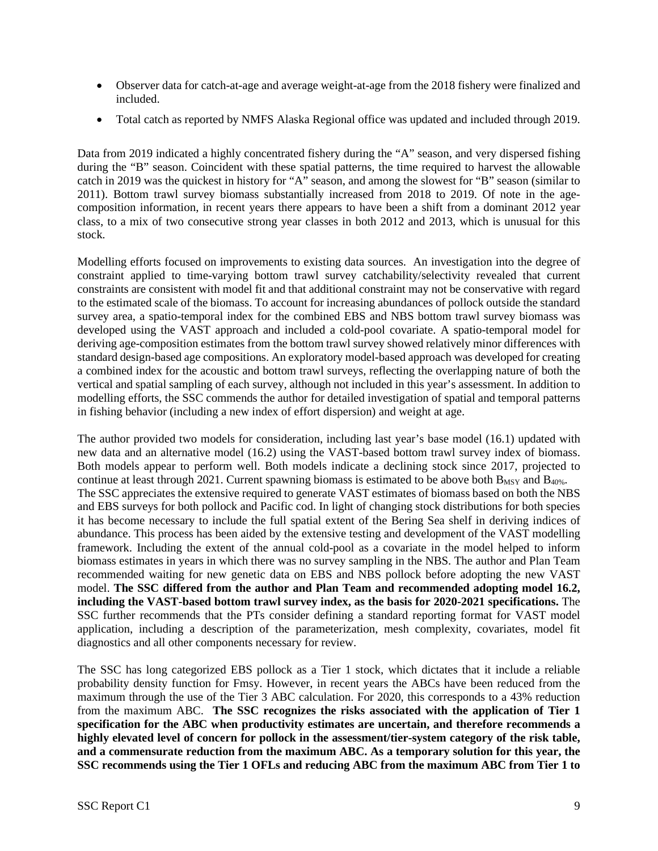- Observer data for catch-at-age and average weight-at-age from the 2018 fishery were finalized and included.
- Total catch as reported by NMFS Alaska Regional office was updated and included through 2019.

Data from 2019 indicated a highly concentrated fishery during the "A" season, and very dispersed fishing during the "B" season. Coincident with these spatial patterns, the time required to harvest the allowable catch in 2019 was the quickest in history for "A" season, and among the slowest for "B" season (similar to 2011). Bottom trawl survey biomass substantially increased from 2018 to 2019. Of note in the agecomposition information, in recent years there appears to have been a shift from a dominant 2012 year class, to a mix of two consecutive strong year classes in both 2012 and 2013, which is unusual for this stock.

Modelling efforts focused on improvements to existing data sources. An investigation into the degree of constraint applied to time-varying bottom trawl survey catchability/selectivity revealed that current constraints are consistent with model fit and that additional constraint may not be conservative with regard to the estimated scale of the biomass. To account for increasing abundances of pollock outside the standard survey area, a spatio-temporal index for the combined EBS and NBS bottom trawl survey biomass was developed using the VAST approach and included a cold-pool covariate. A spatio-temporal model for deriving age-composition estimates from the bottom trawl survey showed relatively minor differences with standard design-based age compositions. An exploratory model-based approach was developed for creating a combined index for the acoustic and bottom trawl surveys, reflecting the overlapping nature of both the vertical and spatial sampling of each survey, although not included in this year's assessment. In addition to modelling efforts, the SSC commends the author for detailed investigation of spatial and temporal patterns in fishing behavior (including a new index of effort dispersion) and weight at age.

The author provided two models for consideration, including last year's base model (16.1) updated with new data and an alternative model (16.2) using the VAST-based bottom trawl survey index of biomass. Both models appear to perform well. Both models indicate a declining stock since 2017, projected to continue at least through 2021. Current spawning biomass is estimated to be above both  $B_{MSY}$  and  $B_{40\%}$ . The SSC appreciates the extensive required to generate VAST estimates of biomass based on both the NBS and EBS surveys for both pollock and Pacific cod. In light of changing stock distributions for both species it has become necessary to include the full spatial extent of the Bering Sea shelf in deriving indices of abundance. This process has been aided by the extensive testing and development of the VAST modelling framework. Including the extent of the annual cold-pool as a covariate in the model helped to inform biomass estimates in years in which there was no survey sampling in the NBS. The author and Plan Team recommended waiting for new genetic data on EBS and NBS pollock before adopting the new VAST model. **The SSC differed from the author and Plan Team and recommended adopting model 16.2, including the VAST-based bottom trawl survey index, as the basis for 2020-2021 specifications.** The SSC further recommends that the PTs consider defining a standard reporting format for VAST model application, including a description of the parameterization, mesh complexity, covariates, model fit diagnostics and all other components necessary for review.

The SSC has long categorized EBS pollock as a Tier 1 stock, which dictates that it include a reliable probability density function for Fmsy. However, in recent years the ABCs have been reduced from the maximum through the use of the Tier 3 ABC calculation. For 2020, this corresponds to a 43% reduction from the maximum ABC. **The SSC recognizes the risks associated with the application of Tier 1 specification for the ABC when productivity estimates are uncertain, and therefore recommends a highly elevated level of concern for pollock in the assessment/tier-system category of the risk table, and a commensurate reduction from the maximum ABC. As a temporary solution for this year, the SSC recommends using the Tier 1 OFLs and reducing ABC from the maximum ABC from Tier 1 to**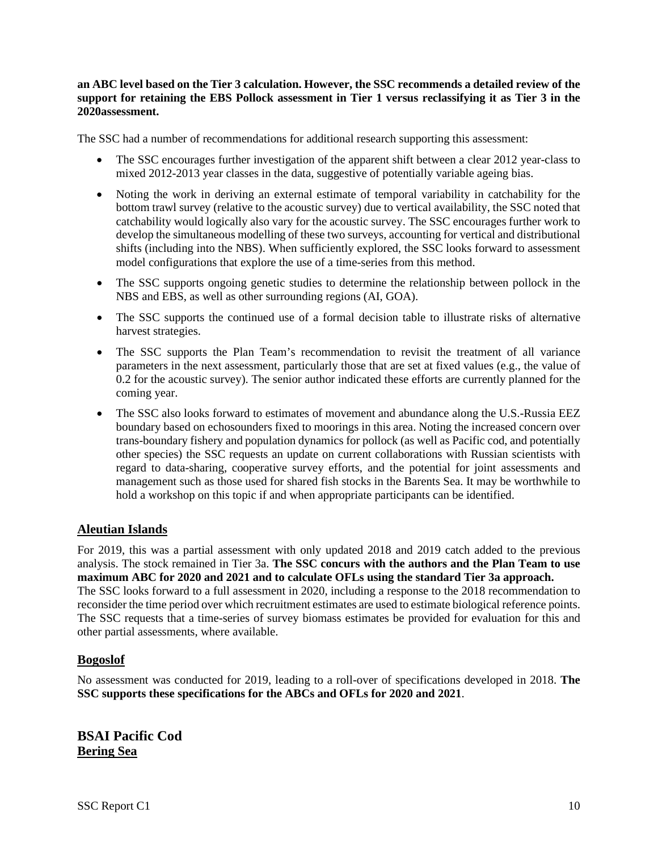### **an ABC level based on the Tier 3 calculation. However, the SSC recommends a detailed review of the support for retaining the EBS Pollock assessment in Tier 1 versus reclassifying it as Tier 3 in the 2020assessment.**

The SSC had a number of recommendations for additional research supporting this assessment:

- The SSC encourages further investigation of the apparent shift between a clear 2012 year-class to mixed 2012-2013 year classes in the data, suggestive of potentially variable ageing bias.
- Noting the work in deriving an external estimate of temporal variability in catchability for the bottom trawl survey (relative to the acoustic survey) due to vertical availability, the SSC noted that catchability would logically also vary for the acoustic survey. The SSC encourages further work to develop the simultaneous modelling of these two surveys, accounting for vertical and distributional shifts (including into the NBS). When sufficiently explored, the SSC looks forward to assessment model configurations that explore the use of a time-series from this method.
- The SSC supports ongoing genetic studies to determine the relationship between pollock in the NBS and EBS, as well as other surrounding regions (AI, GOA).
- The SSC supports the continued use of a formal decision table to illustrate risks of alternative harvest strategies.
- The SSC supports the Plan Team's recommendation to revisit the treatment of all variance parameters in the next assessment, particularly those that are set at fixed values (e.g., the value of 0.2 for the acoustic survey). The senior author indicated these efforts are currently planned for the coming year.
- The SSC also looks forward to estimates of movement and abundance along the U.S.-Russia EEZ boundary based on echosounders fixed to moorings in this area. Noting the increased concern over trans-boundary fishery and population dynamics for pollock (as well as Pacific cod, and potentially other species) the SSC requests an update on current collaborations with Russian scientists with regard to data-sharing, cooperative survey efforts, and the potential for joint assessments and management such as those used for shared fish stocks in the Barents Sea. It may be worthwhile to hold a workshop on this topic if and when appropriate participants can be identified.

## **Aleutian Islands**

For 2019, this was a partial assessment with only updated 2018 and 2019 catch added to the previous analysis. The stock remained in Tier 3a. **The SSC concurs with the authors and the Plan Team to use maximum ABC for 2020 and 2021 and to calculate OFLs using the standard Tier 3a approach.** The SSC looks forward to a full assessment in 2020, including a response to the 2018 recommendation to reconsider the time period over which recruitment estimates are used to estimate biological reference points. The SSC requests that a time-series of survey biomass estimates be provided for evaluation for this and other partial assessments, where available.

## **Bogoslof**

No assessment was conducted for 2019, leading to a roll-over of specifications developed in 2018. **The SSC supports these specifications for the ABCs and OFLs for 2020 and 2021**.

**BSAI Pacific Cod Bering Sea**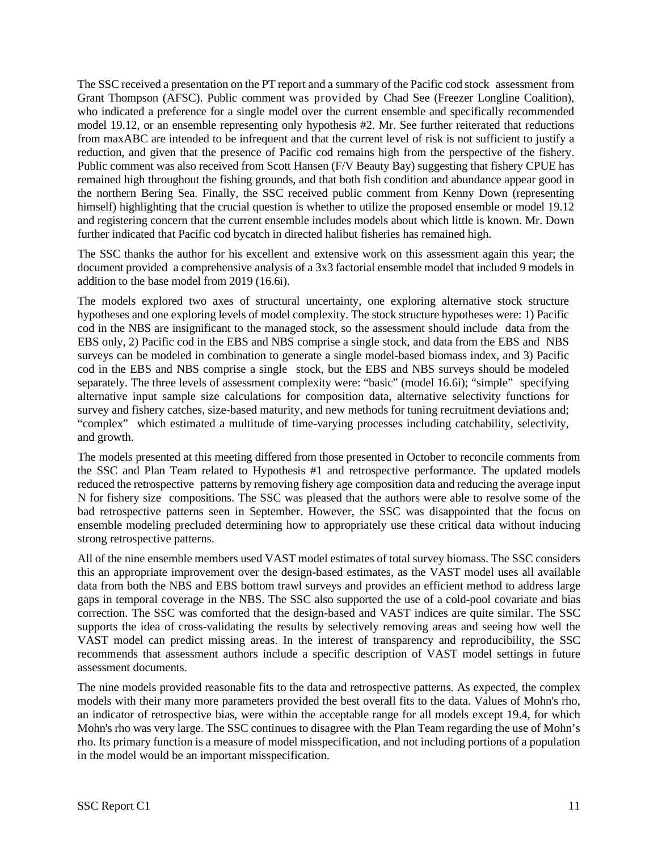The SSC received a presentation on the PT report and a summary of the Pacific cod stock assessment from Grant Thompson (AFSC). Public comment was provided by Chad See (Freezer Longline Coalition), who indicated a preference for a single model over the current ensemble and specifically recommended model 19.12, or an ensemble representing only hypothesis #2. Mr. See further reiterated that reductions from maxABC are intended to be infrequent and that the current level of risk is not sufficient to justify a reduction, and given that the presence of Pacific cod remains high from the perspective of the fishery. Public comment was also received from Scott Hansen (F/V Beauty Bay) suggesting that fishery CPUE has remained high throughout the fishing grounds, and that both fish condition and abundance appear good in the northern Bering Sea. Finally, the SSC received public comment from Kenny Down (representing himself) highlighting that the crucial question is whether to utilize the proposed ensemble or model 19.12 and registering concern that the current ensemble includes models about which little is known. Mr. Down further indicated that Pacific cod bycatch in directed halibut fisheries has remained high.

The SSC thanks the author for his excellent and extensive work on this assessment again this year; the document provided a comprehensive analysis of a 3x3 factorial ensemble model that included 9 models in addition to the base model from 2019 (16.6i).

The models explored two axes of structural uncertainty, one exploring alternative stock structure hypotheses and one exploring levels of model complexity. The stock structure hypotheses were: 1) Pacific cod in the NBS are insignificant to the managed stock, so the assessment should include data from the EBS only, 2) Pacific cod in the EBS and NBS comprise a single stock, and data from the EBS and NBS surveys can be modeled in combination to generate a single model-based biomass index, and 3) Pacific cod in the EBS and NBS comprise a single stock, but the EBS and NBS surveys should be modeled separately. The three levels of assessment complexity were: "basic" (model 16.6i); "simple" specifying alternative input sample size calculations for composition data, alternative selectivity functions for survey and fishery catches, size-based maturity, and new methods for tuning recruitment deviations and; "complex" which estimated a multitude of time-varying processes including catchability, selectivity, and growth.

The models presented at this meeting differed from those presented in October to reconcile comments from the SSC and Plan Team related to Hypothesis #1 and retrospective performance. The updated models reduced the retrospective patterns by removing fishery age composition data and reducing the average input N for fishery size compositions. The SSC was pleased that the authors were able to resolve some of the bad retrospective patterns seen in September. However, the SSC was disappointed that the focus on ensemble modeling precluded determining how to appropriately use these critical data without inducing strong retrospective patterns.

All of the nine ensemble members used VAST model estimates of total survey biomass. The SSC considers this an appropriate improvement over the design-based estimates, as the VAST model uses all available data from both the NBS and EBS bottom trawl surveys and provides an efficient method to address large gaps in temporal coverage in the NBS. The SSC also supported the use of a cold-pool covariate and bias correction. The SSC was comforted that the design-based and VAST indices are quite similar. The SSC supports the idea of cross-validating the results by selectively removing areas and seeing how well the VAST model can predict missing areas. In the interest of transparency and reproducibility, the SSC recommends that assessment authors include a specific description of VAST model settings in future assessment documents.

The nine models provided reasonable fits to the data and retrospective patterns. As expected, the complex models with their many more parameters provided the best overall fits to the data. Values of Mohn's rho, an indicator of retrospective bias, were within the acceptable range for all models except 19.4, for which Mohn's rho was very large. The SSC continues to disagree with the Plan Team regarding the use of Mohn's rho. Its primary function is a measure of model misspecification, and not including portions of a population in the model would be an important misspecification.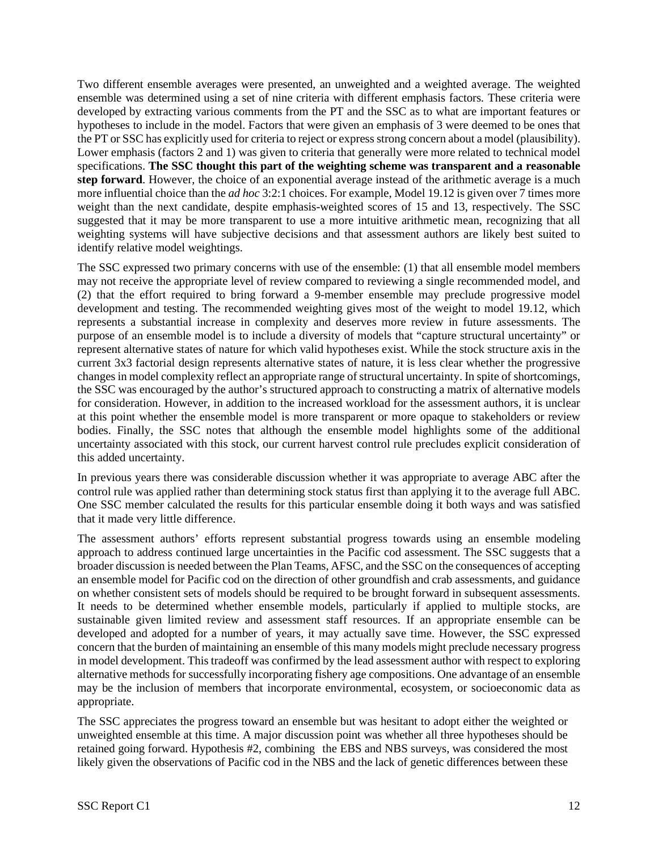Two different ensemble averages were presented, an unweighted and a weighted average. The weighted ensemble was determined using a set of nine criteria with different emphasis factors. These criteria were developed by extracting various comments from the PT and the SSC as to what are important features or hypotheses to include in the model. Factors that were given an emphasis of 3 were deemed to be ones that the PT or SSC has explicitly used for criteria to reject or express strong concern about a model (plausibility). Lower emphasis (factors 2 and 1) was given to criteria that generally were more related to technical model specifications. **The SSC thought this part of the weighting scheme was transparent and a reasonable step forward**. However, the choice of an exponential average instead of the arithmetic average is a much more influential choice than the *ad hoc* 3:2:1 choices. For example, Model 19.12 is given over 7 times more weight than the next candidate, despite emphasis-weighted scores of 15 and 13, respectively. The SSC suggested that it may be more transparent to use a more intuitive arithmetic mean, recognizing that all weighting systems will have subjective decisions and that assessment authors are likely best suited to identify relative model weightings.

The SSC expressed two primary concerns with use of the ensemble: (1) that all ensemble model members may not receive the appropriate level of review compared to reviewing a single recommended model, and (2) that the effort required to bring forward a 9-member ensemble may preclude progressive model development and testing. The recommended weighting gives most of the weight to model 19.12, which represents a substantial increase in complexity and deserves more review in future assessments. The purpose of an ensemble model is to include a diversity of models that "capture structural uncertainty" or represent alternative states of nature for which valid hypotheses exist. While the stock structure axis in the current 3x3 factorial design represents alternative states of nature, it is less clear whether the progressive changes in model complexity reflect an appropriate range of structural uncertainty. In spite of shortcomings, the SSC was encouraged by the author's structured approach to constructing a matrix of alternative models for consideration. However, in addition to the increased workload for the assessment authors, it is unclear at this point whether the ensemble model is more transparent or more opaque to stakeholders or review bodies. Finally, the SSC notes that although the ensemble model highlights some of the additional uncertainty associated with this stock, our current harvest control rule precludes explicit consideration of this added uncertainty.

In previous years there was considerable discussion whether it was appropriate to average ABC after the control rule was applied rather than determining stock status first than applying it to the average full ABC. One SSC member calculated the results for this particular ensemble doing it both ways and was satisfied that it made very little difference.

The assessment authors' efforts represent substantial progress towards using an ensemble modeling approach to address continued large uncertainties in the Pacific cod assessment. The SSC suggests that a broader discussion is needed between the Plan Teams, AFSC, and the SSC on the consequences of accepting an ensemble model for Pacific cod on the direction of other groundfish and crab assessments, and guidance on whether consistent sets of models should be required to be brought forward in subsequent assessments. It needs to be determined whether ensemble models, particularly if applied to multiple stocks, are sustainable given limited review and assessment staff resources. If an appropriate ensemble can be developed and adopted for a number of years, it may actually save time. However, the SSC expressed concern that the burden of maintaining an ensemble of this many models might preclude necessary progress in model development. This tradeoff was confirmed by the lead assessment author with respect to exploring alternative methods for successfully incorporating fishery age compositions. One advantage of an ensemble may be the inclusion of members that incorporate environmental, ecosystem, or socioeconomic data as appropriate.

The SSC appreciates the progress toward an ensemble but was hesitant to adopt either the weighted or unweighted ensemble at this time. A major discussion point was whether all three hypotheses should be retained going forward. Hypothesis #2, combining the EBS and NBS surveys, was considered the most likely given the observations of Pacific cod in the NBS and the lack of genetic differences between these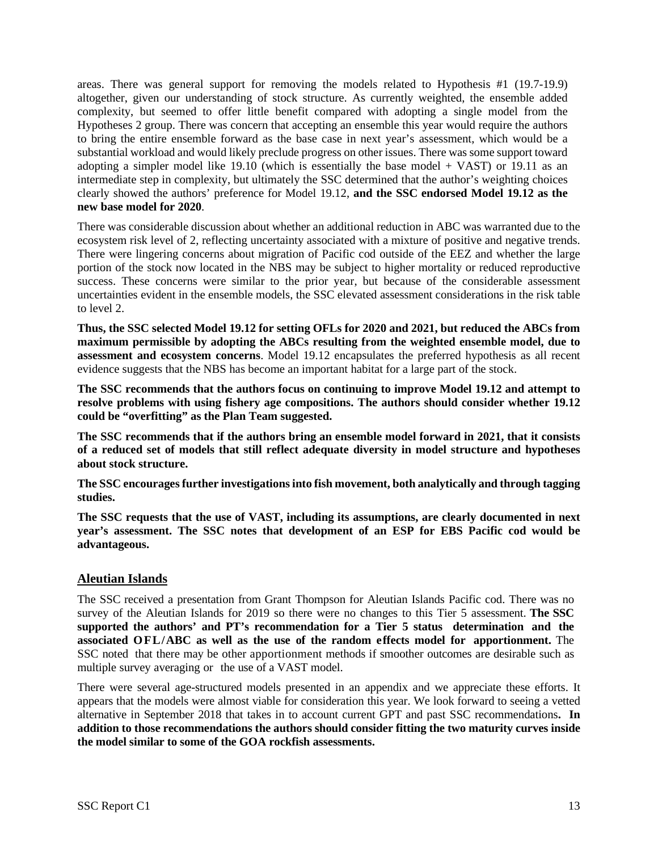areas. There was general support for removing the models related to Hypothesis #1 (19.7-19.9) altogether, given our understanding of stock structure. As currently weighted, the ensemble added complexity, but seemed to offer little benefit compared with adopting a single model from the Hypotheses 2 group. There was concern that accepting an ensemble this year would require the authors to bring the entire ensemble forward as the base case in next year's assessment, which would be a substantial workload and would likely preclude progress on other issues. There was some support toward adopting a simpler model like  $19.10$  (which is essentially the base model + VAST) or 19.11 as an intermediate step in complexity, but ultimately the SSC determined that the author's weighting choices clearly showed the authors' preference for Model 19.12, **and the SSC endorsed Model 19.12 as the new base model for 2020**.

There was considerable discussion about whether an additional reduction in ABC was warranted due to the ecosystem risk level of 2, reflecting uncertainty associated with a mixture of positive and negative trends. There were lingering concerns about migration of Pacific cod outside of the EEZ and whether the large portion of the stock now located in the NBS may be subject to higher mortality or reduced reproductive success. These concerns were similar to the prior year, but because of the considerable assessment uncertainties evident in the ensemble models, the SSC elevated assessment considerations in the risk table to level 2.

**Thus, the SSC selected Model 19.12 for setting OFLs for 2020 and 2021, but reduced the ABCs from maximum permissible by adopting the ABCs resulting from the weighted ensemble model, due to assessment and ecosystem concerns**. Model 19.12 encapsulates the preferred hypothesis as all recent evidence suggests that the NBS has become an important habitat for a large part of the stock.

**The SSC recommends that the authors focus on continuing to improve Model 19.12 and attempt to resolve problems with using fishery age compositions. The authors should consider whether 19.12 could be "overfitting" as the Plan Team suggested.**

**The SSC recommends that if the authors bring an ensemble model forward in 2021, that it consists of a reduced set of models that still reflect adequate diversity in model structure and hypotheses about stock structure.** 

**The SSC encourages further investigations into fish movement, both analytically and through tagging studies.** 

**The SSC requests that the use of VAST, including its assumptions, are clearly documented in next year's assessment. The SSC notes that development of an ESP for EBS Pacific cod would be advantageous.** 

## **Aleutian Islands**

The SSC received a presentation from Grant Thompson for Aleutian Islands Pacific cod. There was no survey of the Aleutian Islands for 2019 so there were no changes to this Tier 5 assessment. **The SSC supported the authors' and PT's recommendation for a Tier 5 status determination and the associated OFL/ABC as well as the use of the random effects model for apportionment.** The SSC noted that there may be other apportionment methods if smoother outcomes are desirable such as multiple survey averaging or the use of a VAST model.

There were several age-structured models presented in an appendix and we appreciate these efforts. It appears that the models were almost viable for consideration this year. We look forward to seeing a vetted alternative in September 2018 that takes in to account current GPT and past SSC recommendations**. In addition to those recommendations the authors should consider fitting the two maturity curves inside the model similar to some of the GOA rockfish assessments.**